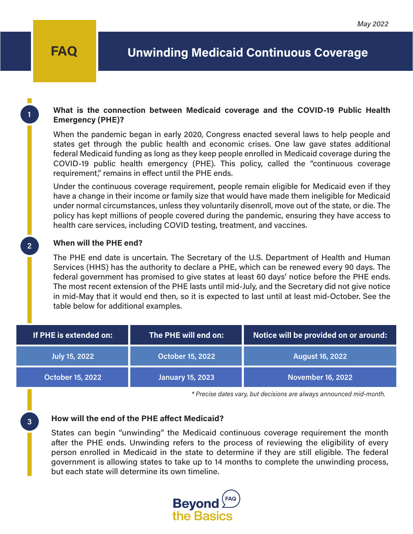**1**

**2**

**3**

### **What is the connection between Medicaid coverage and the COVID-19 Public Health Emergency (PHE)?**

When the pandemic began in early 2020, Congress enacted several laws to help people and states get through the public health and economic crises. One law gave states additional federal Medicaid funding as long as they keep people enrolled in Medicaid coverage during the COVID-19 public health emergency (PHE). This policy, called the "continuous coverage requirement," remains in effect until the PHE ends.

Under the continuous coverage requirement, people remain eligible for Medicaid even if they have a change in their income or family size that would have made them ineligible for Medicaid under normal circumstances, unless they voluntarily disenroll, move out of the state, or die. The policy has kept millions of people covered during the pandemic, ensuring they have access to health care services, including COVID testing, treatment, and vaccines.

#### **When will the PHE end?**

The PHE end date is uncertain. The Secretary of the U.S. Department of Health and Human Services (HHS) has the authority to declare a PHE, which can be renewed every 90 days. The federal government has promised to give states at least 60 days' notice before the PHE ends. The most recent extension of the PHE lasts until mid-July, and the Secretary did not give notice in mid-May that it would end then, so it is expected to last until at least mid-October. See the table below for additional examples.

| If PHE is extended on:  | The PHE will end on:    | Notice will be provided on or around: |
|-------------------------|-------------------------|---------------------------------------|
| <b>July 15, 2022</b>    | <b>October 15, 2022</b> | August 16, 2022                       |
| <b>October 15, 2022</b> | <b>January 15, 2023</b> | November 16, 2022                     |

*\* Precise dates vary, but decisions are always announced mid-month.*

#### **How will the end of the PHE affect Medicaid?**

States can begin "unwinding" the Medicaid continuous coverage requirement the month after the PHE ends. Unwinding refers to the process of reviewing the eligibility of every person enrolled in Medicaid in the state to determine if they are still eligible. The federal government is allowing states to take up to 14 months to complete the unwinding process, but each state will determine its own timeline.

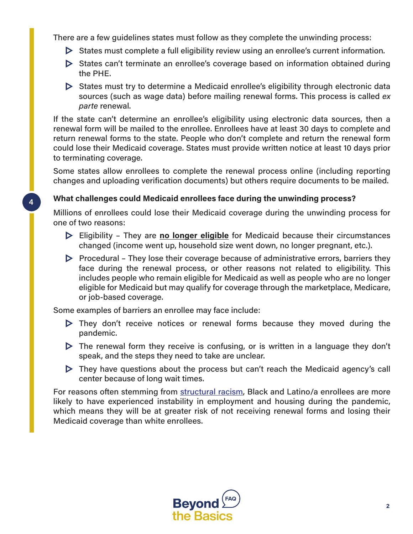There are a few guidelines states must follow as they complete the unwinding process:

- $\triangleright$  States must complete a full eligibility review using an enrollee's current information.
- $\triangleright$  States can't terminate an enrollee's coverage based on information obtained during the PHE.
- $\triangleright$  States must try to determine a Medicaid enrollee's eligibility through electronic data sources (such as wage data) before mailing renewal forms. This process is called *ex parte* renewal.

If the state can't determine an enrollee's eligibility using electronic data sources, then a renewal form will be mailed to the enrollee. Enrollees have at least 30 days to complete and return renewal forms to the state. People who don't complete and return the renewal form could lose their Medicaid coverage. States must provide written notice at least 10 days prior to terminating coverage.

Some states allow enrollees to complete the renewal process online (including reporting changes and uploading verification documents) but others require documents to be mailed.

### **What challenges could Medicaid enrollees face during the unwinding process?**

Millions of enrollees could lose their Medicaid coverage during the unwinding process for one of two reasons:

- Eligibility They are **no longer eligible** for Medicaid because their circumstances changed (income went up, household size went down, no longer pregnant, etc.).
- $\triangleright$  Procedural They lose their coverage because of administrative errors, barriers they face during the renewal process, or other reasons not related to eligibility. This includes people who remain eligible for Medicaid as well as people who are no longer eligible for Medicaid but may qualify for coverage through the marketplace, Medicare, or job-based coverage.

Some examples of barriers an enrollee may face include:

**4**

- $\triangleright$  They don't receive notices or renewal forms because they moved during the pandemic.
- $\triangleright$  The renewal form they receive is confusing, or is written in a language they don't speak, and the steps they need to take are unclear.
- $\triangleright$  They have questions about the process but can't reach the Medicaid agency's call center because of long wait times.

For reasons often stemming from [structural racism,](https://www.cbpp.org/research/poverty-and-inequality/tracking-the-covid-19-economys-effects-on-food-housing-and) Black and Latino/a enrollees are more likely to have experienced instability in employment and housing during the pandemic, which means they will be at greater risk of not receiving renewal forms and losing their Medicaid coverage than white enrollees.

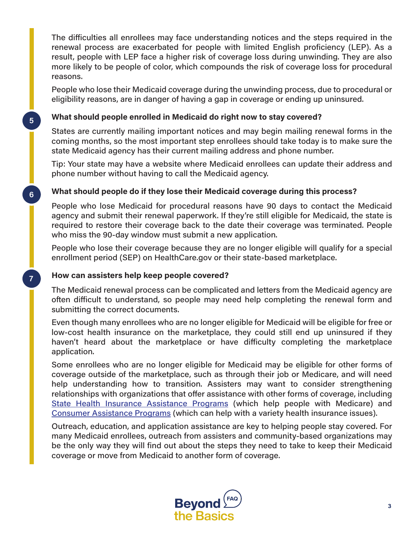The difficulties all enrollees may face understanding notices and the steps required in the renewal process are exacerbated for people with limited English proficiency (LEP). As a result, people with LEP face a higher risk of coverage loss during unwinding. They are also more likely to be people of color, which compounds the risk of coverage loss for procedural reasons.

People who lose their Medicaid coverage during the unwinding process, due to procedural or eligibility reasons, are in danger of having a gap in coverage or ending up uninsured.

## **What should people enrolled in Medicaid do right now to stay covered?**

States are currently mailing important notices and may begin mailing renewal forms in the coming months, so the most important step enrollees should take today is to make sure the state Medicaid agency has their current mailing address and phone number.

Tip: Your state may have a website where Medicaid enrollees can update their address and phone number without having to call the Medicaid agency.

# **What should people do if they lose their Medicaid coverage during this process?**

People who lose Medicaid for procedural reasons have 90 days to contact the Medicaid agency and submit their renewal paperwork. If they're still eligible for Medicaid, the state is required to restore their coverage back to the date their coverage was terminated. People who miss the 90-day window must submit a new application.

People who lose their coverage because they are no longer eligible will qualify for a special enrollment period (SEP) on HealthCare.gov or their state-based marketplace.

# **How can assisters help keep people covered?**

**5**

**6**

**7**

The Medicaid renewal process can be complicated and letters from the Medicaid agency are often difficult to understand, so people may need help completing the renewal form and submitting the correct documents.

Even though many enrollees who are no longer eligible for Medicaid will be eligible for free or low-cost health insurance on the marketplace, they could still end up uninsured if they haven't heard about the marketplace or have difficulty completing the marketplace application.

Some enrollees who are no longer eligible for Medicaid may be eligible for other forms of coverage outside of the marketplace, such as through their job or Medicare, and will need help understanding how to transition. Assisters may want to consider strengthening relationships with organizations that offer assistance with other forms of coverage, including [State Health Insurance Assistance Programs](https://www.shiphelp.org/) (which help people with Medicare) and [Consumer Assistance Programs](https://www.cms.gov/CCIIO/Resources/Consumer-Assistance-Grants) (which can help with a variety health insurance issues).

Outreach, education, and application assistance are key to helping people stay covered. For many Medicaid enrollees, outreach from assisters and community-based organizations may be the only way they will find out about the steps they need to take to keep their Medicaid coverage or move from Medicaid to another form of coverage.